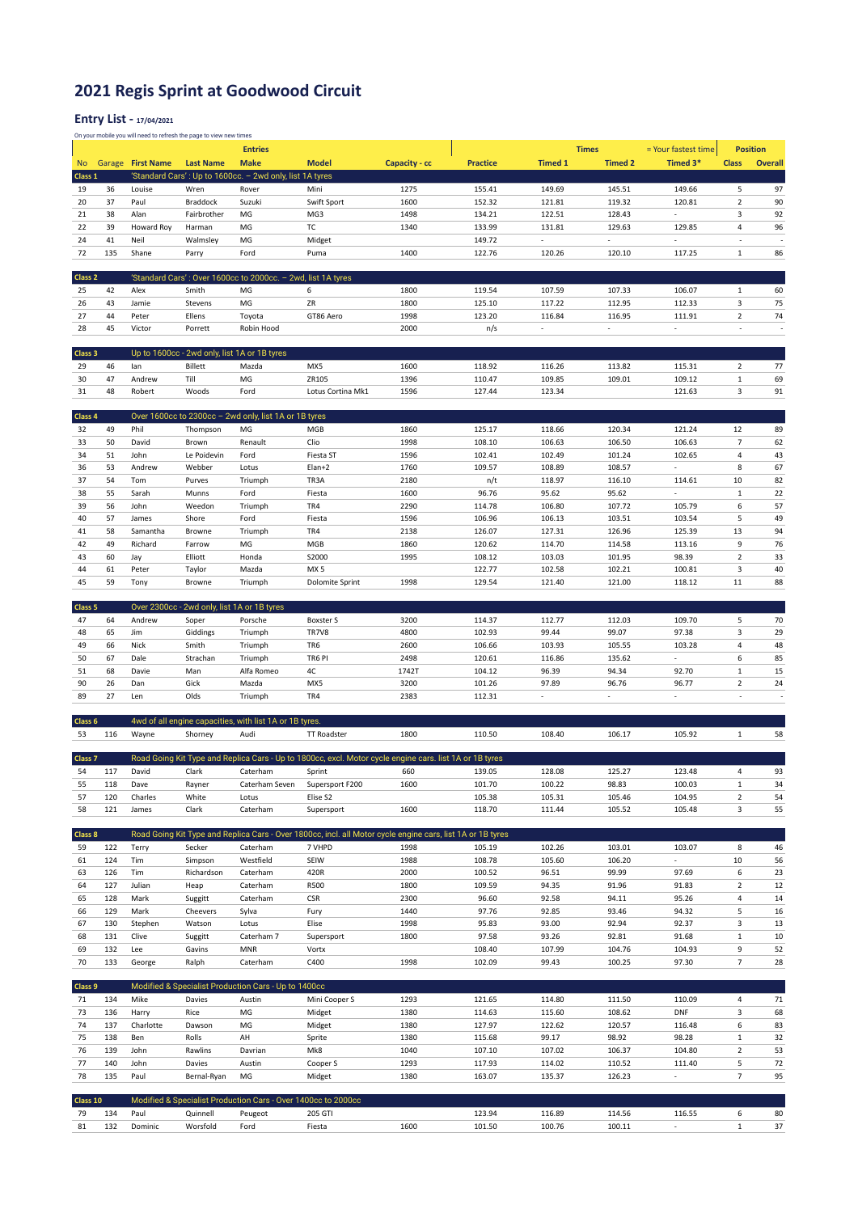## 2021 Regis Sprint at Goodwood Circuit

## Entry List - 17/04/2021

On your mobile you will need to refresh the page to view new times

|                    |     |                   |                                             | <b>Entries</b>                                                |                                                                                                            |               |                 |                | <b>Times</b>             | = Your fastest time         | <b>Position</b> |                          |
|--------------------|-----|-------------------|---------------------------------------------|---------------------------------------------------------------|------------------------------------------------------------------------------------------------------------|---------------|-----------------|----------------|--------------------------|-----------------------------|-----------------|--------------------------|
| No.                |     | Garage First Name | <b>Last Name</b>                            | <b>Make</b>                                                   | <b>Model</b>                                                                                               | Capacity - cc | <b>Practice</b> | <b>Timed 1</b> | <b>Timed 2</b>           | Timed 3*                    | <b>Class</b>    | <b>Overall</b>           |
| Class 1            |     |                   |                                             | 'Standard Cars': Up to 1600cc. - 2wd only, list 1A tyres      |                                                                                                            |               |                 |                |                          |                             |                 |                          |
| 19                 | 36  | Louise            | Wren                                        | Rover                                                         | Mini                                                                                                       | 1275          | 155.41          | 149.69         | 145.51                   | 149.66                      | 5               | 97                       |
| 20                 | 37  | Paul              | Braddock                                    | Suzuki                                                        | Swift Sport                                                                                                | 1600          | 152.32          | 121.81         | 119.32                   | 120.81                      | $\overline{2}$  | 90                       |
|                    |     |                   |                                             |                                                               |                                                                                                            |               |                 |                |                          | ٠                           |                 | 92                       |
| 21                 | 38  | Alan              | Fairbrother                                 | MG                                                            | MG3                                                                                                        | 1498          | 134.21          | 122.51         | 128.43                   |                             | 3               |                          |
| 22                 | 39  | Howard Roy        | Harman                                      | MG                                                            | TC                                                                                                         | 1340          | 133.99          | 131.81         | 129.63                   | 129.85                      | $\sqrt{4}$      | 96                       |
| 24                 | 41  | Neil              | Walmsley                                    | MG                                                            | Midget                                                                                                     |               | 149.72          | ×.             | ÷.                       | ÷.                          | ÷,              | J.                       |
| 72                 | 135 | Shane             | Parry                                       | Ford                                                          | Puma                                                                                                       | 1400          | 122.76          | 120.26         | 120.10                   | 117.25                      | $\mathbf{1}$    | 86                       |
|                    |     |                   |                                             |                                                               |                                                                                                            |               |                 |                |                          |                             |                 |                          |
| Class <sub>2</sub> |     |                   |                                             | 'Standard Cars': Over 1600cc to 2000cc. - 2wd, list 1A tyres  |                                                                                                            |               |                 |                |                          |                             |                 |                          |
| 25                 | 42  | Alex              | Smith                                       | MG                                                            | 6                                                                                                          | 1800          | 119.54          | 107.59         | 107.33                   | 106.07                      | $\mathbf 1$     | 60                       |
| 26                 | 43  | Jamie             | Stevens                                     | MG                                                            | ZR                                                                                                         | 1800          | 125.10          | 117.22         | 112.95                   | 112.33                      | 3               | 75                       |
| 27                 | 44  | Peter             | Ellens                                      | Toyota                                                        | GT86 Aero                                                                                                  | 1998          | 123.20          | 116.84         | 116.95                   | 111.91                      | $\overline{2}$  | 74                       |
| 28                 | 45  | Victor            | Porrett                                     | Robin Hood                                                    |                                                                                                            | 2000          | n/s             | ٠              | $\overline{\phantom{a}}$ | ÷.                          | ÷,              | ×,                       |
|                    |     |                   |                                             |                                                               |                                                                                                            |               |                 |                |                          |                             |                 |                          |
|                    |     |                   |                                             |                                                               |                                                                                                            |               |                 |                |                          |                             |                 |                          |
| Class 3            |     |                   |                                             | Up to 1600cc - 2wd only, list 1A or 1B tyres                  |                                                                                                            |               |                 |                |                          |                             |                 |                          |
| 29                 | 46  | lan               | <b>Billett</b>                              | Mazda                                                         | MX5                                                                                                        | 1600          | 118.92          | 116.26         | 113.82                   | 115.31                      | $\overline{2}$  | 77                       |
| 30                 | 47  | Andrew            | Till                                        | MG                                                            | ZR105                                                                                                      | 1396          | 110.47          | 109.85         | 109.01                   | 109.12                      | $\mathbf 1$     | 69                       |
| 31                 | 48  | Robert            | Woods                                       | Ford                                                          | Lotus Cortina Mk1                                                                                          | 1596          | 127.44          | 123.34         |                          | 121.63                      | 3               | 91                       |
|                    |     |                   |                                             |                                                               |                                                                                                            |               |                 |                |                          |                             |                 |                          |
| Class 4            |     |                   |                                             | Over 1600cc to 2300cc - 2wd only, list 1A or 1B tyres         |                                                                                                            |               |                 |                |                          |                             |                 |                          |
| 32                 | 49  | Phil              | Thompson                                    | MG                                                            | MGB                                                                                                        | 1860          | 125.17          | 118.66         | 120.34                   | 121.24                      | 12              | 89                       |
| 33                 | 50  | David             | Brown                                       | Renault                                                       | Clio                                                                                                       | 1998          | 108.10          | 106.63         | 106.50                   | 106.63                      | $\overline{7}$  | 62                       |
| 34                 | 51  | John              | Le Poidevin                                 | Ford                                                          | Fiesta ST                                                                                                  | 1596          | 102.41          | 102.49         | 101.24                   | 102.65                      | 4               | 43                       |
| 36                 | 53  | Andrew            | Webber                                      | Lotus                                                         | Elan+2                                                                                                     | 1760          | 109.57          | 108.89         | 108.57                   | $\mathcal{L}_{\mathcal{A}}$ | 8               | 67                       |
|                    |     |                   |                                             |                                                               |                                                                                                            |               |                 |                |                          |                             |                 |                          |
| 37                 | 54  | Tom               | Purves                                      | Triumph                                                       | TR3A                                                                                                       | 2180          | n/t             | 118.97         | 116.10                   | 114.61                      | 10              | 82                       |
| 38                 | 55  | Sarah             | Munns                                       | Ford                                                          | Fiesta                                                                                                     | 1600          | 96.76           | 95.62          | 95.62                    | $\mathcal{L}_{\mathcal{A}}$ | $\mathbf 1$     | 22                       |
| 39                 | 56  | John              | Weedon                                      | Triumph                                                       | TR4                                                                                                        | 2290          | 114.78          | 106.80         | 107.72                   | 105.79                      | 6               | 57                       |
| 40                 | 57  | James             | Shore                                       | Ford                                                          | Fiesta                                                                                                     | 1596          | 106.96          | 106.13         | 103.51                   | 103.54                      | 5               | 49                       |
| 41                 | 58  | Samantha          | Browne                                      | Triumph                                                       | TR4                                                                                                        | 2138          | 126.07          | 127.31         | 126.96                   | 125.39                      | 13              | 94                       |
| 42                 | 49  | Richard           | Farrow                                      | MG                                                            | MGB                                                                                                        | 1860          | 120.62          | 114.70         | 114.58                   | 113.16                      | 9               | 76                       |
| 43                 | 60  | Jay               | Elliott                                     | Honda                                                         | S2000                                                                                                      | 1995          | 108.12          | 103.03         | 101.95                   | 98.39                       | $\overline{2}$  | 33                       |
| 44                 | 61  | Peter             | Taylor                                      | Mazda                                                         | MX <sub>5</sub>                                                                                            |               | 122.77          | 102.58         | 102.21                   | 100.81                      | 3               | 40                       |
| 45                 | 59  | Tony              | Browne                                      | Triumph                                                       | <b>Dolomite Sprint</b>                                                                                     | 1998          | 129.54          | 121.40         | 121.00                   | 118.12                      | 11              | 88                       |
|                    |     |                   |                                             |                                                               |                                                                                                            |               |                 |                |                          |                             |                 |                          |
| Class 5            |     |                   | Over 2300cc - 2wd only, list 1A or 1B tyres |                                                               |                                                                                                            |               |                 |                |                          |                             |                 |                          |
| 47                 | 64  | Andrew            | Soper                                       | Porsche                                                       | <b>Boxster S</b>                                                                                           | 3200          | 114.37          | 112.77         | 112.03                   | 109.70                      | 5               | 70                       |
| 48                 | 65  | Jim               | Giddings                                    | Triumph                                                       | TR7V8                                                                                                      | 4800          | 102.93          | 99.44          | 99.07                    | 97.38                       | 3               | 29                       |
|                    |     |                   |                                             |                                                               |                                                                                                            |               |                 |                |                          |                             |                 |                          |
| 49                 | 66  | Nick              | Smith                                       | Triumph                                                       | TR6                                                                                                        | 2600          | 106.66          | 103.93         | 105.55                   | 103.28                      | 4               | 48                       |
|                    |     |                   |                                             |                                                               |                                                                                                            |               |                 |                |                          |                             |                 |                          |
| 50                 | 67  | Dale              | Strachan                                    | Triumph                                                       | TR6 PI                                                                                                     | 2498          | 120.61          | 116.86         | 135.62                   | ÷,                          | 6               | 85                       |
| 51                 | 68  | Davie             | Man                                         | Alfa Romeo                                                    | 4C                                                                                                         | 1742T         | 104.12          | 96.39          | 94.34                    | 92.70                       | $\,1\,$         | 15                       |
| 90                 | 26  | Dan               | Gick                                        | Mazda                                                         | MX5                                                                                                        | 3200          | 101.26          | 97.89          | 96.76                    | 96.77                       | $\overline{2}$  | 24                       |
| 89                 | 27  | Len               | Olds                                        | Triumph                                                       | TR4                                                                                                        | 2383          | 112.31          | ×.             | $\overline{a}$           | $\overline{\phantom{a}}$    | ÷,              | $\overline{\phantom{a}}$ |
|                    |     |                   |                                             |                                                               |                                                                                                            |               |                 |                |                          |                             |                 |                          |
| Class 6            |     |                   |                                             | 4wd of all engine capacities, with list 1A or 1B tyres.       |                                                                                                            |               |                 |                |                          |                             |                 |                          |
| 53                 | 116 | Wayne             | Shorney                                     | Audi                                                          | <b>TT Roadster</b>                                                                                         | 1800          | 110.50          | 108.40         | 106.17                   | 105.92                      | $\mathbf{1}$    | 58                       |
|                    |     |                   |                                             |                                                               |                                                                                                            |               |                 |                |                          |                             |                 |                          |
| Class <sub>7</sub> |     |                   |                                             |                                                               | Road Going Kit Type and Replica Cars - Up to 1800cc, excl. Motor cycle engine cars. list 1A or 1B tyres    |               |                 |                |                          |                             |                 |                          |
| 54                 | 117 | David             | Clark                                       | Caterham                                                      |                                                                                                            | 660           | 139.05          |                | 125.27                   | 123.48                      | 4               | 93                       |
|                    |     |                   |                                             |                                                               | Sprint                                                                                                     |               |                 | 128.08         |                          |                             |                 |                          |
| 55                 | 118 | Dave              | Rayner                                      | Caterham Seven                                                | Supersport F200                                                                                            | 1600          | 101.70          | 100.22         | 98.83                    | 100.03                      | $\mathbf{1}$    | 34                       |
| 57                 | 120 | Charles           | White                                       | Lotus                                                         | Elise S2                                                                                                   |               | 105.38          | 105.31         | 105.46                   | 104.95                      | $\overline{2}$  | 54                       |
| 58                 | 121 | James             | Clark                                       | Caterham                                                      | Supersport                                                                                                 | 1600          | 118.70          | 111.44         | 105.52                   | 105.48                      | 3               | 55                       |
|                    |     |                   |                                             |                                                               |                                                                                                            |               |                 |                |                          |                             |                 |                          |
| Class 8            |     |                   |                                             |                                                               | Road Going Kit Type and Replica Cars - Over 1800cc, incl. all Motor cycle engine cars, list 1A or 1B tyres |               |                 |                |                          |                             |                 |                          |
| 59                 | 122 | Terry             | Secker                                      | Caterham                                                      | 7 VHPD                                                                                                     | 1998          | 105.19          | 102.26         | 103.01                   | 103.07                      | 8               | 46                       |
| 61                 | 124 | Tim               | Simpson                                     | Westfield                                                     | SEIW                                                                                                       | 1988          | 108.78          | 105.60         | 106.20                   | ÷.                          | 10              | 56                       |
| 63                 | 126 | Tim               | Richardson                                  | Caterham                                                      | 420R                                                                                                       | 2000          | 100.52          | 96.51          | 99.99                    | 97.69                       | 6               | 23                       |
| 64                 | 127 | Julian            | Heap                                        | Caterham                                                      | <b>R500</b>                                                                                                | 1800          | 109.59          | 94.35          | 91.96                    | 91.83                       | $\overline{2}$  | 12                       |
| 65                 | 128 | Mark              | Suggitt                                     | Caterham                                                      | <b>CSR</b>                                                                                                 | 2300          | 96.60           | 92.58          | 94.11                    | 95.26                       | 4               | 14                       |
| 66                 | 129 | Mark              | Cheevers                                    | Sylva                                                         | Fury                                                                                                       | 1440          | 97.76           | 92.85          | 93.46                    | 94.32                       | 5               | 16                       |
| 67                 | 130 | Stephen           | Watson                                      | Lotus                                                         | Elise                                                                                                      | 1998          | 95.83           | 93.00          | 92.94                    | 92.37                       | 3               | 13                       |
| 68                 | 131 | Clive             | Suggitt                                     | Caterham 7                                                    | Supersport                                                                                                 | 1800          | 97.58           | 93.26          | 92.81                    | 91.68                       | $\mathbf 1$     | 10                       |
|                    |     |                   |                                             |                                                               |                                                                                                            |               |                 |                |                          |                             |                 |                          |
| 69                 | 132 | Lee               | Gavins                                      | MNR                                                           | Vortx                                                                                                      |               | 108.40          | 107.99         | 104.76                   | 104.93                      | 9               | 52                       |
| 70                 | 133 | George            | Ralph                                       | Caterham                                                      | C400                                                                                                       | 1998          | 102.09          | 99.43          | 100.25                   | 97.30                       | $\overline{7}$  | 28                       |
|                    |     |                   |                                             |                                                               |                                                                                                            |               |                 |                |                          |                             |                 |                          |
| Class 9            |     |                   |                                             | Modified & Specialist Production Cars - Up to 1400cc          |                                                                                                            |               |                 |                |                          |                             |                 |                          |
| 71                 | 134 | Mike              | Davies                                      | Austin                                                        | Mini Cooper S                                                                                              | 1293          | 121.65          | 114.80         | 111.50                   | 110.09                      | 4               | 71                       |
| 73                 | 136 | Harry             | Rice                                        | MG                                                            | Midget                                                                                                     | 1380          | 114.63          | 115.60         | 108.62                   | <b>DNF</b>                  | 3               | 68                       |
| 74                 | 137 | Charlotte         | Dawson                                      | MG                                                            | Midget                                                                                                     | 1380          | 127.97          | 122.62         | 120.57                   | 116.48                      | 6               | 83                       |
| 75                 | 138 | Ben               | Rolls                                       | AH                                                            | Sprite                                                                                                     | 1380          | 115.68          | 99.17          | 98.92                    | 98.28                       | $\mathbf 1$     | 32                       |
| 76                 | 139 | John              | Rawlins                                     | Davrian                                                       | Mk8                                                                                                        | 1040          | 107.10          | 107.02         | 106.37                   | 104.80                      | $\mathbf 2$     | 53                       |
| 77                 | 140 | John              | Davies                                      | Austin                                                        | Cooper S                                                                                                   | 1293          | 117.93          | 114.02         | 110.52                   | 111.40                      | 5               | 72                       |
| 78                 | 135 | Paul              | Bernal-Ryan                                 | MG                                                            | Midget                                                                                                     | 1380          | 163.07          | 135.37         | 126.23                   | $\overline{\phantom{a}}$    | $\overline{7}$  | 95                       |
|                    |     |                   |                                             |                                                               |                                                                                                            |               |                 |                |                          |                             |                 |                          |
| Class 10           |     |                   |                                             | Modified & Specialist Production Cars - Over 1400cc to 2000cc |                                                                                                            |               |                 |                |                          |                             |                 |                          |
| 79                 | 134 | Paul              | Quinnell                                    | Peugeot                                                       | 205 GTI                                                                                                    |               | 123.94          | 116.89         | 114.56                   | 116.55                      | 6               | 80                       |